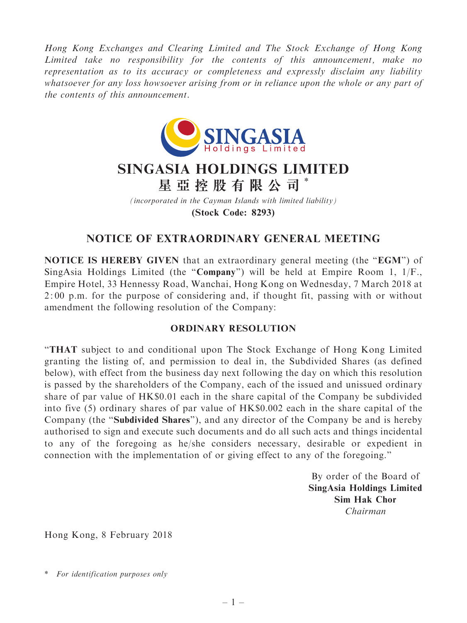Hong Kong Exchanges and Clearing Limited and The Stock Exchange of Hong Kong Limited take no responsibility for the contents of this announcement, make no representation as to its accuracy or completeness and expressly disclaim any liability whatsoever for any loss howsoever arising from or in reliance upon the whole or any part of the contents of this announcement.



## SINGASIA HOLDINGS LIMITED 星 亞 控 股 有 限 公 司 \*

(incorporated in the Cayman Islands with limited liability) (Stock Code: 8293)

## NOTICE OF EXTRAORDINARY GENERAL MEETING

NOTICE IS HEREBY GIVEN that an extraordinary general meeting (the "EGM") of SingAsia Holdings Limited (the ''Company'') will be held at Empire Room 1, 1/F., Empire Hotel, 33 Hennessy Road, Wanchai, Hong Kong on Wednesday, 7 March 2018 at 2: 00 p.m. for the purpose of considering and, if thought fit, passing with or without amendment the following resolution of the Company:

## ORDINARY RESOLUTION

''THAT subject to and conditional upon The Stock Exchange of Hong Kong Limited granting the listing of, and permission to deal in, the Subdivided Shares (as defined below), with effect from the business day next following the day on which this resolution is passed by the shareholders of the Company, each of the issued and unissued ordinary share of par value of HK\$0.01 each in the share capital of the Company be subdivided into five (5) ordinary shares of par value of HK\$0.002 each in the share capital of the Company (the ''Subdivided Shares''), and any director of the Company be and is hereby authorised to sign and execute such documents and do all such acts and things incidental to any of the foregoing as he/she considers necessary, desirable or expedient in connection with the implementation of or giving effect to any of the foregoing.''

> By order of the Board of SingAsia Holdings Limited Sim Hak Chor Chairman

Hong Kong, 8 February 2018

<sup>\*</sup> For identification purposes only